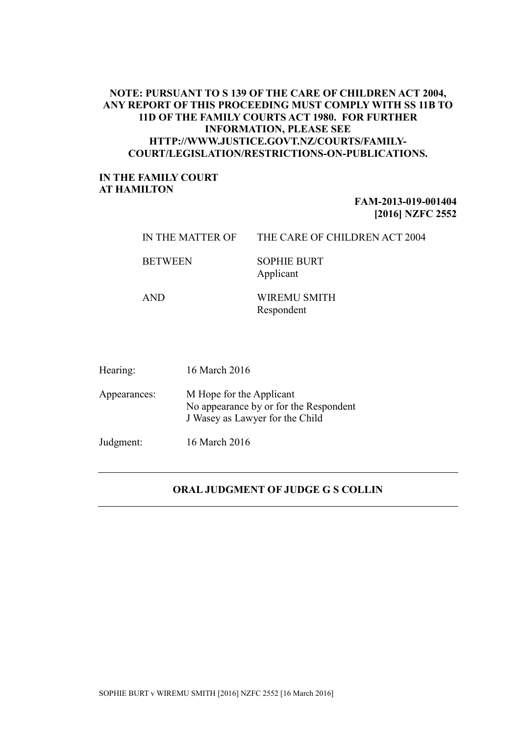# **NOTE: PURSUANT TO S 139 OF THE CARE OF CHILDREN ACT 2004, ANY REPORT OF THIS PROCEEDING MUST COMPLY WITH SS 11B TO 11D OF THE FAMILY COURTS ACT 1980. FOR FURTHER INFORMATION, PLEASE SEE HTTP://WWW.JUSTICE.GOVT.NZ/COURTS/FAMILY-COURT/LEGISLATION/RESTRICTIONS-ON-PUBLICATIONS.**

# **IN THE FAMILY COURT AT HAMILTON**

# **FAM-2013-019-001404 [2016] NZFC 2552**

| IN THE MATTER OF | THE CARE OF CHILDREN ACT 2004   |
|------------------|---------------------------------|
| <b>BETWEEN</b>   | <b>SOPHIE BURT</b><br>Applicant |

AND WIREMU SMITH Respondent

| Hearing:     | 16 March 2016                                                                                         |
|--------------|-------------------------------------------------------------------------------------------------------|
| Appearances: | M Hope for the Applicant<br>No appearance by or for the Respondent<br>J Wasey as Lawyer for the Child |
| Judgment:    | 16 March 2016                                                                                         |

# **ORAL JUDGMENT OF JUDGE G S COLLIN**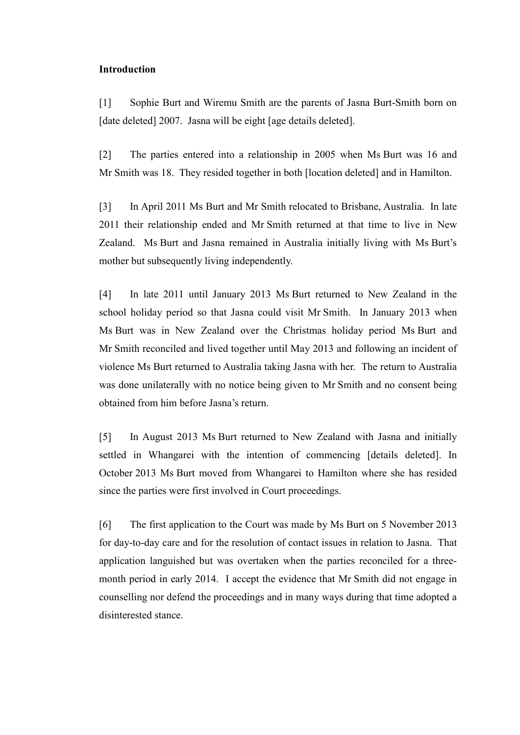## **Introduction**

[1] Sophie Burt and Wiremu Smith are the parents of Jasna Burt-Smith born on [date deleted] 2007. Jasna will be eight [age details deleted].

[2] The parties entered into a relationship in 2005 when Ms Burt was 16 and Mr Smith was 18. They resided together in both [location deleted] and in Hamilton.

[3] In April 2011 Ms Burt and Mr Smith relocated to Brisbane, Australia. In late 2011 their relationship ended and Mr Smith returned at that time to live in New Zealand. Ms Burt and Jasna remained in Australia initially living with Ms Burt's mother but subsequently living independently.

[4] In late 2011 until January 2013 Ms Burt returned to New Zealand in the school holiday period so that Jasna could visit Mr Smith. In January 2013 when Ms Burt was in New Zealand over the Christmas holiday period Ms Burt and Mr Smith reconciled and lived together until May 2013 and following an incident of violence Ms Burt returned to Australia taking Jasna with her. The return to Australia was done unilaterally with no notice being given to Mr Smith and no consent being obtained from him before Jasna's return.

[5] In August 2013 Ms Burt returned to New Zealand with Jasna and initially settled in Whangarei with the intention of commencing [details deleted]. In October 2013 Ms Burt moved from Whangarei to Hamilton where she has resided since the parties were first involved in Court proceedings.

[6] The first application to the Court was made by Ms Burt on 5 November 2013 for day-to-day care and for the resolution of contact issues in relation to Jasna. That application languished but was overtaken when the parties reconciled for a threemonth period in early 2014. I accept the evidence that Mr Smith did not engage in counselling nor defend the proceedings and in many ways during that time adopted a disinterested stance.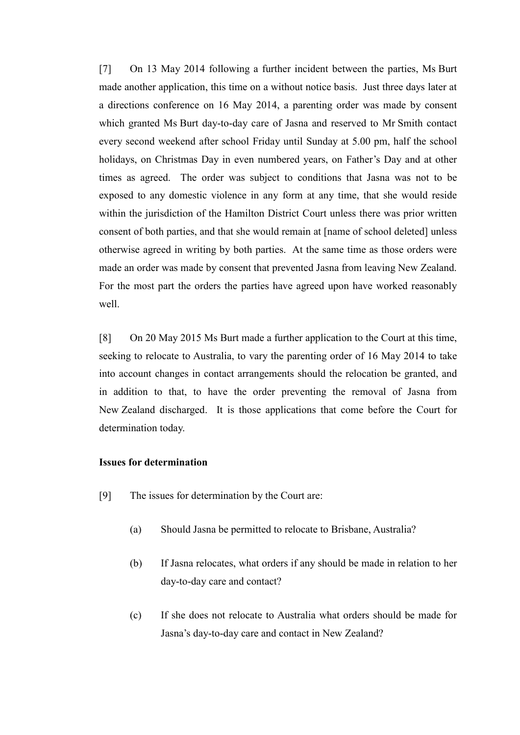[7] On 13 May 2014 following a further incident between the parties, Ms Burt made another application, this time on a without notice basis. Just three days later at a directions conference on 16 May 2014, a parenting order was made by consent which granted Ms Burt day-to-day care of Jasna and reserved to Mr Smith contact every second weekend after school Friday until Sunday at 5.00 pm, half the school holidays, on Christmas Day in even numbered years, on Father's Day and at other times as agreed. The order was subject to conditions that Jasna was not to be exposed to any domestic violence in any form at any time, that she would reside within the jurisdiction of the Hamilton District Court unless there was prior written consent of both parties, and that she would remain at [name of school deleted] unless otherwise agreed in writing by both parties. At the same time as those orders were made an order was made by consent that prevented Jasna from leaving New Zealand. For the most part the orders the parties have agreed upon have worked reasonably well.

[8] On 20 May 2015 Ms Burt made a further application to the Court at this time, seeking to relocate to Australia, to vary the parenting order of 16 May 2014 to take into account changes in contact arrangements should the relocation be granted, and in addition to that, to have the order preventing the removal of Jasna from New Zealand discharged. It is those applications that come before the Court for determination today.

#### **Issues for determination**

- [9] The issues for determination by the Court are:
	- (a) Should Jasna be permitted to relocate to Brisbane, Australia?
	- (b) If Jasna relocates, what orders if any should be made in relation to her day-to-day care and contact?
	- (c) If she does not relocate to Australia what orders should be made for Jasna's day-to-day care and contact in New Zealand?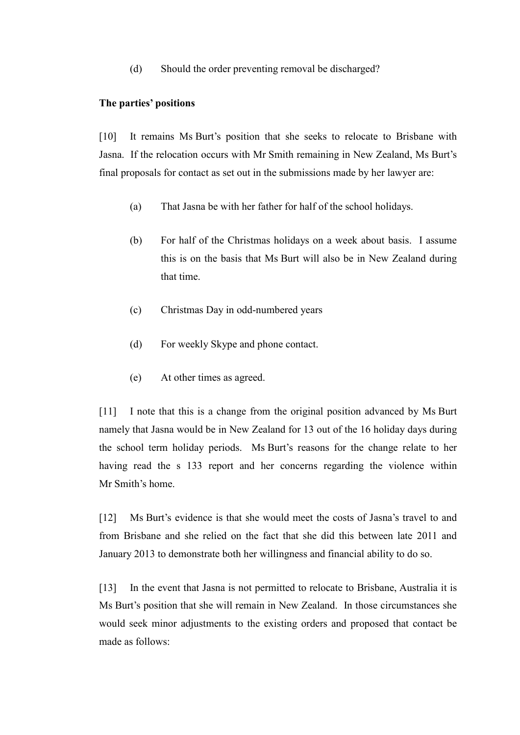(d) Should the order preventing removal be discharged?

#### **The parties' positions**

[10] It remains Ms Burt's position that she seeks to relocate to Brisbane with Jasna. If the relocation occurs with Mr Smith remaining in New Zealand, Ms Burt's final proposals for contact as set out in the submissions made by her lawyer are:

- (a) That Jasna be with her father for half of the school holidays.
- (b) For half of the Christmas holidays on a week about basis. I assume this is on the basis that Ms Burt will also be in New Zealand during that time.
- (c) Christmas Day in odd-numbered years
- (d) For weekly Skype and phone contact.
- (e) At other times as agreed.

[11] I note that this is a change from the original position advanced by Ms Burt namely that Jasna would be in New Zealand for 13 out of the 16 holiday days during the school term holiday periods. Ms Burt's reasons for the change relate to her having read the s 133 report and her concerns regarding the violence within Mr Smith's home.

[12] Ms Burt's evidence is that she would meet the costs of Jasna's travel to and from Brisbane and she relied on the fact that she did this between late 2011 and January 2013 to demonstrate both her willingness and financial ability to do so.

[13] In the event that Jasna is not permitted to relocate to Brisbane, Australia it is Ms Burt's position that she will remain in New Zealand. In those circumstances she would seek minor adjustments to the existing orders and proposed that contact be made as follows: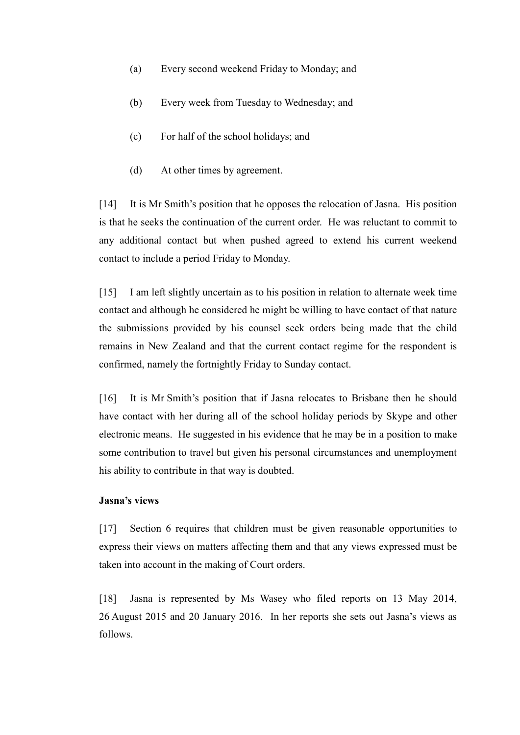- (a) Every second weekend Friday to Monday; and
- (b) Every week from Tuesday to Wednesday; and
- (c) For half of the school holidays; and
- (d) At other times by agreement.

[14] It is Mr Smith's position that he opposes the relocation of Jasna. His position is that he seeks the continuation of the current order. He was reluctant to commit to any additional contact but when pushed agreed to extend his current weekend contact to include a period Friday to Monday.

[15] I am left slightly uncertain as to his position in relation to alternate week time contact and although he considered he might be willing to have contact of that nature the submissions provided by his counsel seek orders being made that the child remains in New Zealand and that the current contact regime for the respondent is confirmed, namely the fortnightly Friday to Sunday contact.

[16] It is Mr Smith's position that if Jasna relocates to Brisbane then he should have contact with her during all of the school holiday periods by Skype and other electronic means. He suggested in his evidence that he may be in a position to make some contribution to travel but given his personal circumstances and unemployment his ability to contribute in that way is doubted.

## **Jasna's views**

[17] Section 6 requires that children must be given reasonable opportunities to express their views on matters affecting them and that any views expressed must be taken into account in the making of Court orders.

[18] Jasna is represented by Ms Wasey who filed reports on 13 May 2014, 26 August 2015 and 20 January 2016. In her reports she sets out Jasna's views as follows.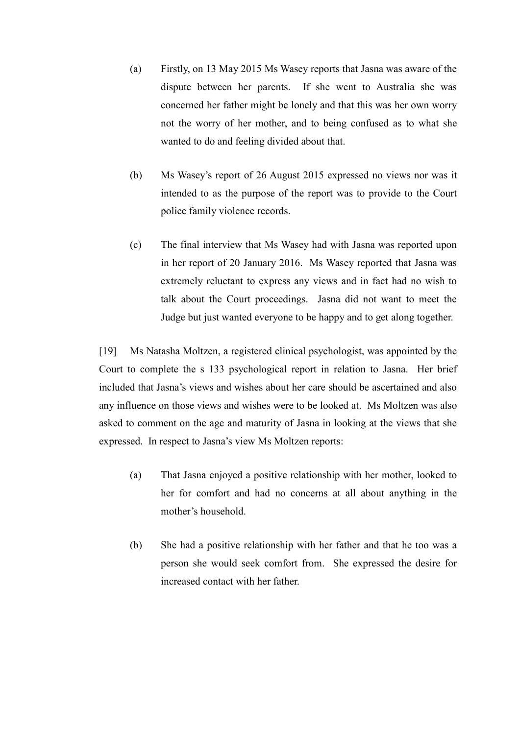- (a) Firstly, on 13 May 2015 Ms Wasey reports that Jasna was aware of the dispute between her parents. If she went to Australia she was concerned her father might be lonely and that this was her own worry not the worry of her mother, and to being confused as to what she wanted to do and feeling divided about that.
- (b) Ms Wasey's report of 26 August 2015 expressed no views nor was it intended to as the purpose of the report was to provide to the Court police family violence records.
- (c) The final interview that Ms Wasey had with Jasna was reported upon in her report of 20 January 2016. Ms Wasey reported that Jasna was extremely reluctant to express any views and in fact had no wish to talk about the Court proceedings. Jasna did not want to meet the Judge but just wanted everyone to be happy and to get along together.

[19] Ms Natasha Moltzen, a registered clinical psychologist, was appointed by the Court to complete the s 133 psychological report in relation to Jasna. Her brief included that Jasna's views and wishes about her care should be ascertained and also any influence on those views and wishes were to be looked at. Ms Moltzen was also asked to comment on the age and maturity of Jasna in looking at the views that she expressed. In respect to Jasna's view Ms Moltzen reports:

- (a) That Jasna enjoyed a positive relationship with her mother, looked to her for comfort and had no concerns at all about anything in the mother's household.
- (b) She had a positive relationship with her father and that he too was a person she would seek comfort from. She expressed the desire for increased contact with her father.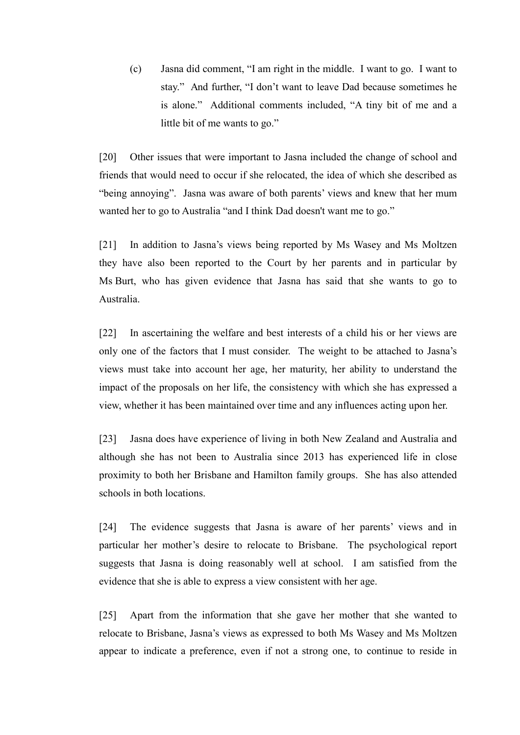(c) Jasna did comment, "I am right in the middle. I want to go. I want to stay." And further, "I don't want to leave Dad because sometimes he is alone." Additional comments included, "A tiny bit of me and a little bit of me wants to go."

[20] Other issues that were important to Jasna included the change of school and friends that would need to occur if she relocated, the idea of which she described as "being annoying". Jasna was aware of both parents' views and knew that her mum wanted her to go to Australia "and I think Dad doesn't want me to go."

[21] In addition to Jasna's views being reported by Ms Wasey and Ms Moltzen they have also been reported to the Court by her parents and in particular by Ms Burt, who has given evidence that Jasna has said that she wants to go to Australia.

[22] In ascertaining the welfare and best interests of a child his or her views are only one of the factors that I must consider. The weight to be attached to Jasna's views must take into account her age, her maturity, her ability to understand the impact of the proposals on her life, the consistency with which she has expressed a view, whether it has been maintained over time and any influences acting upon her.

[23] Jasna does have experience of living in both New Zealand and Australia and although she has not been to Australia since 2013 has experienced life in close proximity to both her Brisbane and Hamilton family groups. She has also attended schools in both locations.

[24] The evidence suggests that Jasna is aware of her parents' views and in particular her mother's desire to relocate to Brisbane. The psychological report suggests that Jasna is doing reasonably well at school. I am satisfied from the evidence that she is able to express a view consistent with her age.

[25] Apart from the information that she gave her mother that she wanted to relocate to Brisbane, Jasna's views as expressed to both Ms Wasey and Ms Moltzen appear to indicate a preference, even if not a strong one, to continue to reside in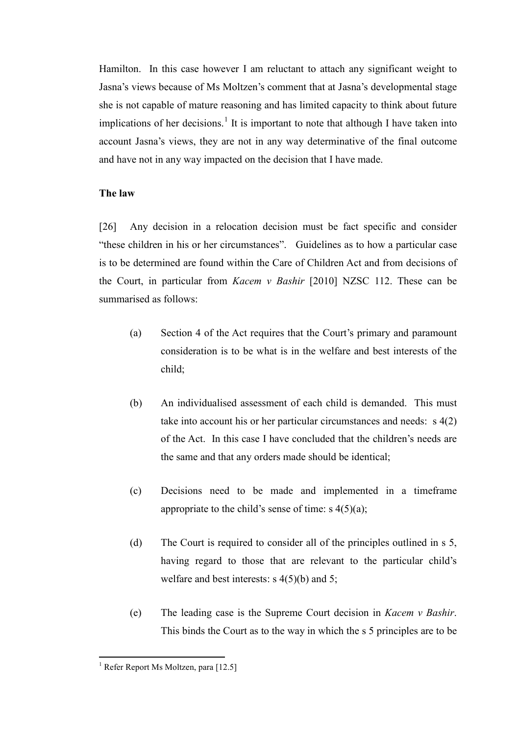Hamilton. In this case however I am reluctant to attach any significant weight to Jasna's views because of Ms Moltzen's comment that at Jasna's developmental stage she is not capable of mature reasoning and has limited capacity to think about future implications of her decisions.<sup>[1](#page-8-0)</sup> It is important to note that although I have taken into account Jasna's views, they are not in any way determinative of the final outcome and have not in any way impacted on the decision that I have made.

## **The law**

[26] Any decision in a relocation decision must be fact specific and consider "these children in his or her circumstances". Guidelines as to how a particular case is to be determined are found within the Care of Children Act and from decisions of the Court, in particular from *Kacem v Bashir* [2010] NZSC 112. These can be summarised as follows:

- (a) Section 4 of the Act requires that the Court's primary and paramount consideration is to be what is in the welfare and best interests of the child;
- (b) An individualised assessment of each child is demanded. This must take into account his or her particular circumstances and needs: s 4(2) of the Act. In this case I have concluded that the children's needs are the same and that any orders made should be identical;
- (c) Decisions need to be made and implemented in a timeframe appropriate to the child's sense of time:  $s \frac{4}{5}(a)$ ;
- (d) The Court is required to consider all of the principles outlined in s 5, having regard to those that are relevant to the particular child's welfare and best interests: s 4(5)(b) and 5;
- (e) The leading case is the Supreme Court decision in *Kacem v Bashir*. This binds the Court as to the way in which the s 5 principles are to be

 $<sup>1</sup>$  Refer Report Ms Moltzen, para [12.5]</sup>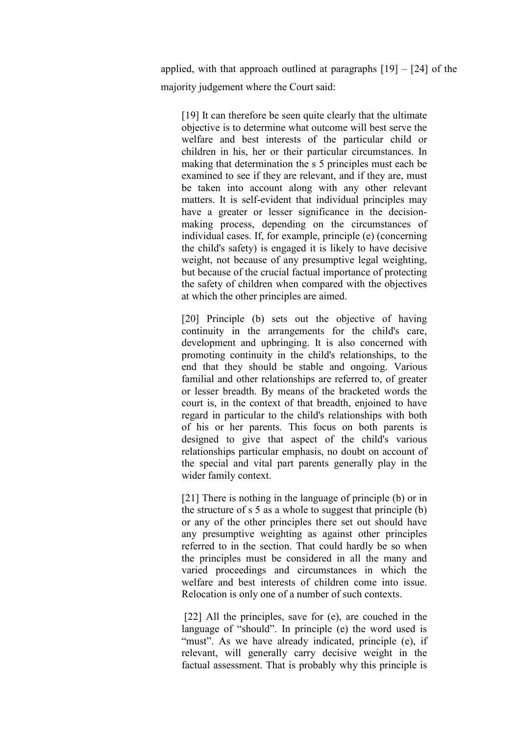applied, with that approach outlined at paragraphs  $[19] - [24]$  of the majority judgement where the Court said:

[19] It can therefore be seen quite clearly that the ultimate objective is to determine what outcome will best serve the welfare and best interests of the particular child or children in his, her or their particular circumstances. In making that determination the s 5 principles must each be examined to see if they are relevant, and if they are, must be taken into account along with any other relevant matters. It is self-evident that individual principles may have a greater or lesser significance in the decisionmaking process, depending on the circumstances of individual cases. If, for example, principle (e) (concerning the child's safety) is engaged it is likely to have decisive weight, not because of any presumptive legal weighting, but because of the crucial factual importance of protecting the safety of children when compared with the objectives at which the other principles are aimed.

[20] Principle (b) sets out the objective of having continuity in the arrangements for the child's care, development and upbringing. It is also concerned with promoting continuity in the child's relationships, to the end that they should be stable and ongoing. Various familial and other relationships are referred to, of greater or lesser breadth. By means of the bracketed words the court is, in the context of that breadth, enjoined to have regard in particular to the child's relationships with both of his or her parents. This focus on both parents is designed to give that aspect of the child's various relationships particular emphasis, no doubt on account of the special and vital part parents generally play in the wider family context.

[21] There is nothing in the language of principle (b) or in the structure of s 5 as a whole to suggest that principle (b) or any of the other principles there set out should have any presumptive weighting as against other principles referred to in the section. That could hardly be so when the principles must be considered in all the many and varied proceedings and circumstances in which the welfare and best interests of children come into issue. Relocation is only one of a number of such contexts.

<span id="page-8-0"></span>[22] All the principles, save for (e), are couched in the language of "should". In principle (e) the word used is "must". As we have already indicated, principle (e), if relevant, will generally carry decisive weight in the factual assessment. That is probably why this principle is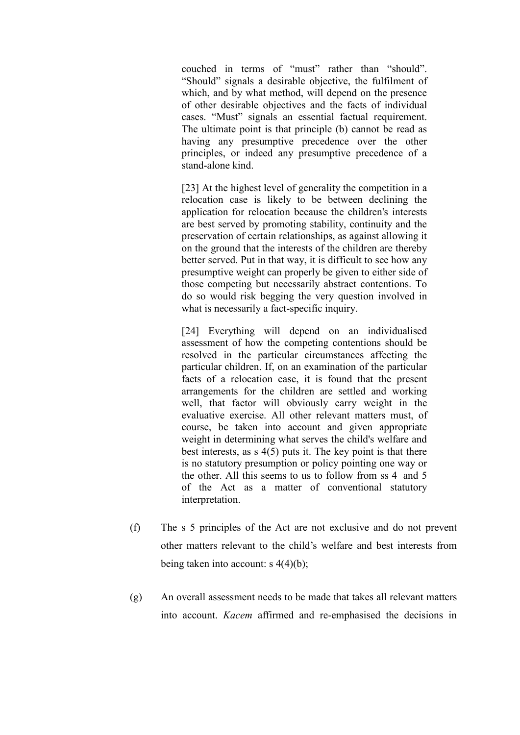couched in terms of "must" rather than "should". "Should" signals a desirable objective, the fulfilment of which, and by what method, will depend on the presence of other desirable objectives and the facts of individual cases. "Must" signals an essential factual requirement. The ultimate point is that principle (b) cannot be read as having any presumptive precedence over the other principles, or indeed any presumptive precedence of a stand-alone kind.

[23] At the highest level of generality the competition in a relocation case is likely to be between declining the application for relocation because the children's interests are best served by promoting stability, continuity and the preservation of certain relationships, as against allowing it on the ground that the interests of the children are thereby better served. Put in that way, it is difficult to see how any presumptive weight can properly be given to either side of those competing but necessarily abstract contentions. To do so would risk begging the very question involved in what is necessarily a fact-specific inquiry.

[24] Everything will depend on an individualised assessment of how the competing contentions should be resolved in the particular circumstances affecting the particular children. If, on an examination of the particular facts of a relocation case, it is found that the present arrangements for the children are settled and working well, that factor will obviously carry weight in the evaluative exercise. All other relevant matters must, of course, be taken into account and given appropriate weight in determining what serves the child's welfare and best interests, as s 4(5) puts it. The key point is that there is no statutory presumption or policy pointing one way or the other. All this seems to us to follow from ss 4 and 5 of the Act as a matter of conventional statutory interpretation.

- (f) The s 5 principles of the Act are not exclusive and do not prevent other matters relevant to the child's welfare and best interests from being taken into account: s 4(4)(b);
- (g) An overall assessment needs to be made that takes all relevant matters into account. *Kacem* affirmed and re-emphasised the decisions in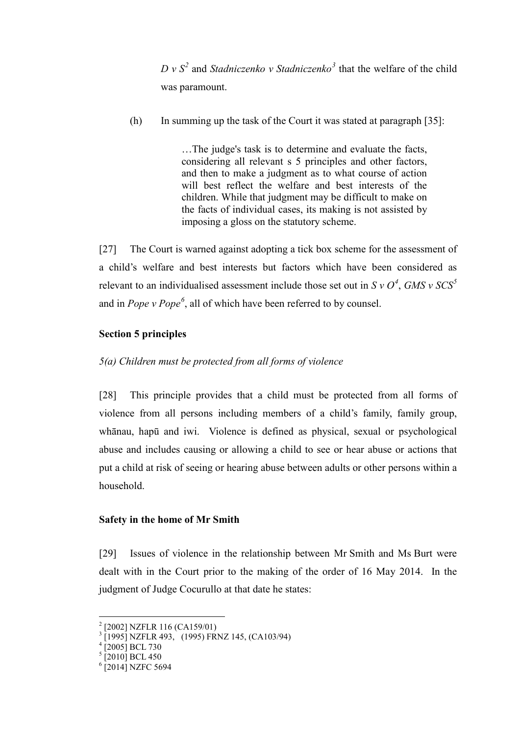$D v S<sup>2</sup>$  $D v S<sup>2</sup>$  $D v S<sup>2</sup>$  and *Stadniczenko v Stadniczenko*<sup>[3](#page-11-1)</sup> that the welfare of the child was paramount.

(h) In summing up the task of the Court it was stated at paragraph [35]:

…The judge's task is to determine and evaluate the facts, considering all relevant s 5 principles and other factors, and then to make a judgment as to what course of action will best reflect the welfare and best interests of the children. While that judgment may be difficult to make on the facts of individual cases, its making is not assisted by imposing a gloss on the statutory scheme.

[27] The Court is warned against adopting a tick box scheme for the assessment of a child's welfare and best interests but factors which have been considered as relevant to an individualised assessment include those set out in *S v O[4](#page-11-2)* , *GMS v SCS[5](#page-11-3)* and in *Pope v Pope[6](#page-11-4)* , all of which have been referred to by counsel.

# **Section 5 principles**

# *5(a) Children must be protected from all forms of violence*

[28] This principle provides that a child must be protected from all forms of violence from all persons including members of a child's family, family group, whānau, hapū and iwi. Violence is defined as physical, sexual or psychological abuse and includes causing or allowing a child to see or hear abuse or actions that put a child at risk of seeing or hearing abuse between adults or other persons within a household.

# **Safety in the home of Mr Smith**

[29] Issues of violence in the relationship between Mr Smith and Ms Burt were dealt with in the Court prior to the making of the order of 16 May 2014. In the judgment of Judge Cocurullo at that date he states:

 <sup>2</sup> [2002] NZFLR 116 (CA159/01)

 $\frac{3}{1}$ [1995] NZFLR 493, (1995) FRNZ 145, (CA103/94)<br><sup>4</sup> [2005] BCL 730

 $5$ [2010] BCL 450

<sup>&</sup>lt;sup>6</sup> [2014] NZFC 5694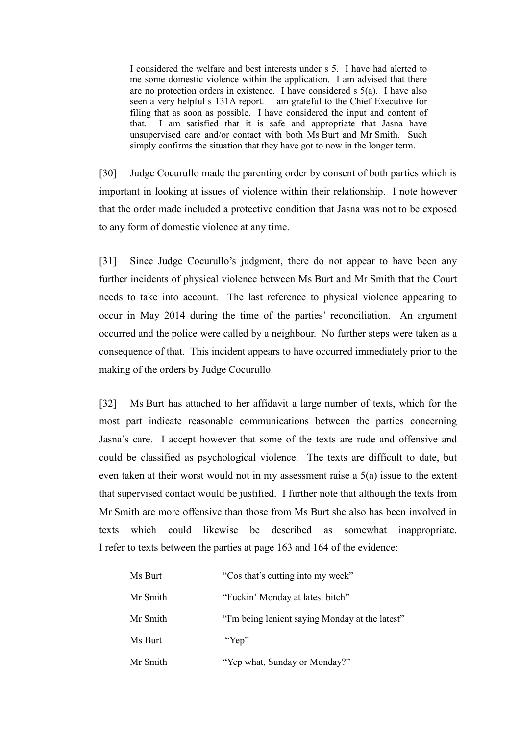I considered the welfare and best interests under s 5. I have had alerted to me some domestic violence within the application. I am advised that there are no protection orders in existence. I have considered s 5(a). I have also seen a very helpful s 131A report. I am grateful to the Chief Executive for filing that as soon as possible. I have considered the input and content of that. I am satisfied that it is safe and appropriate that Jasna have unsupervised care and/or contact with both Ms Burt and Mr Smith. Such simply confirms the situation that they have got to now in the longer term.

[30] Judge Cocurullo made the parenting order by consent of both parties which is important in looking at issues of violence within their relationship. I note however that the order made included a protective condition that Jasna was not to be exposed to any form of domestic violence at any time.

[31] Since Judge Cocurullo's judgment, there do not appear to have been any further incidents of physical violence between Ms Burt and Mr Smith that the Court needs to take into account. The last reference to physical violence appearing to occur in May 2014 during the time of the parties' reconciliation. An argument occurred and the police were called by a neighbour. No further steps were taken as a consequence of that. This incident appears to have occurred immediately prior to the making of the orders by Judge Cocurullo.

[32] Ms Burt has attached to her affidavit a large number of texts, which for the most part indicate reasonable communications between the parties concerning Jasna's care. I accept however that some of the texts are rude and offensive and could be classified as psychological violence. The texts are difficult to date, but even taken at their worst would not in my assessment raise a 5(a) issue to the extent that supervised contact would be justified. I further note that although the texts from Mr Smith are more offensive than those from Ms Burt she also has been involved in texts which could likewise be described as somewhat inappropriate. I refer to texts between the parties at page 163 and 164 of the evidence:

<span id="page-11-4"></span><span id="page-11-3"></span><span id="page-11-2"></span><span id="page-11-1"></span><span id="page-11-0"></span>

| Ms Burt  | "Cos that's cutting into my week"               |
|----------|-------------------------------------------------|
| Mr Smith | "Fuckin' Monday at latest bitch"                |
| Mr Smith | "I'm being lenient saying Monday at the latest" |
| Ms Burt  | "Yep"                                           |
| Mr Smith | "Yep what, Sunday or Monday?"                   |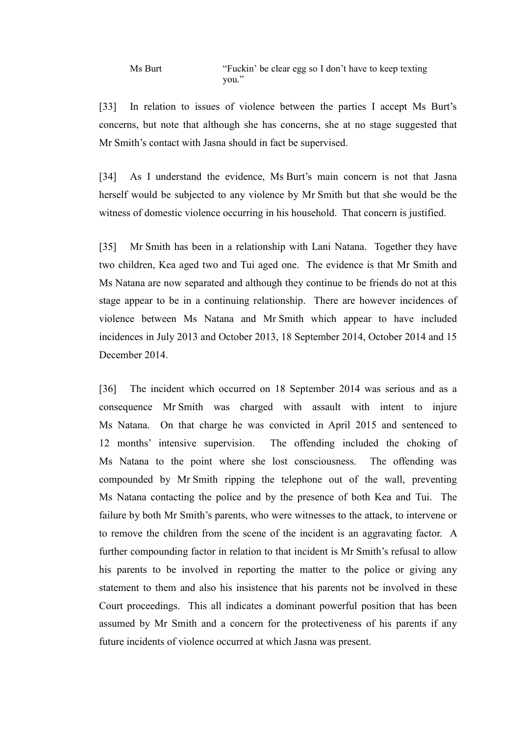[33] In relation to issues of violence between the parties I accept Ms Burt's concerns, but note that although she has concerns, she at no stage suggested that Mr Smith's contact with Jasna should in fact be supervised.

[34] As I understand the evidence, Ms Burt's main concern is not that Jasna herself would be subjected to any violence by Mr Smith but that she would be the witness of domestic violence occurring in his household. That concern is justified.

[35] Mr Smith has been in a relationship with Lani Natana. Together they have two children, Kea aged two and Tui aged one. The evidence is that Mr Smith and Ms Natana are now separated and although they continue to be friends do not at this stage appear to be in a continuing relationship. There are however incidences of violence between Ms Natana and Mr Smith which appear to have included incidences in July 2013 and October 2013, 18 September 2014, October 2014 and 15 December 2014.

[36] The incident which occurred on 18 September 2014 was serious and as a consequence Mr Smith was charged with assault with intent to injure Ms Natana. On that charge he was convicted in April 2015 and sentenced to 12 months' intensive supervision. The offending included the choking of Ms Natana to the point where she lost consciousness. The offending was compounded by Mr Smith ripping the telephone out of the wall, preventing Ms Natana contacting the police and by the presence of both Kea and Tui. The failure by both Mr Smith's parents, who were witnesses to the attack, to intervene or to remove the children from the scene of the incident is an aggravating factor. A further compounding factor in relation to that incident is Mr Smith's refusal to allow his parents to be involved in reporting the matter to the police or giving any statement to them and also his insistence that his parents not be involved in these Court proceedings. This all indicates a dominant powerful position that has been assumed by Mr Smith and a concern for the protectiveness of his parents if any future incidents of violence occurred at which Jasna was present.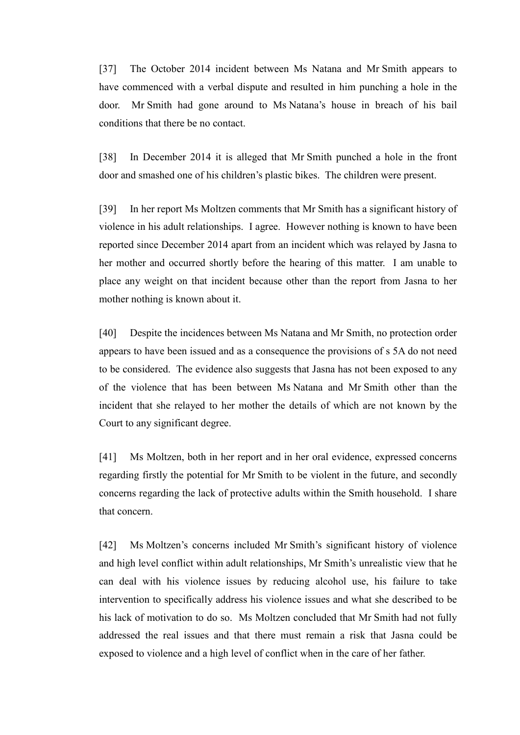[37] The October 2014 incident between Ms Natana and Mr Smith appears to have commenced with a verbal dispute and resulted in him punching a hole in the door. Mr Smith had gone around to Ms Natana's house in breach of his bail conditions that there be no contact.

[38] In December 2014 it is alleged that Mr Smith punched a hole in the front door and smashed one of his children's plastic bikes. The children were present.

[39] In her report Ms Moltzen comments that Mr Smith has a significant history of violence in his adult relationships. I agree. However nothing is known to have been reported since December 2014 apart from an incident which was relayed by Jasna to her mother and occurred shortly before the hearing of this matter. I am unable to place any weight on that incident because other than the report from Jasna to her mother nothing is known about it.

[40] Despite the incidences between Ms Natana and Mr Smith, no protection order appears to have been issued and as a consequence the provisions of s 5A do not need to be considered. The evidence also suggests that Jasna has not been exposed to any of the violence that has been between Ms Natana and Mr Smith other than the incident that she relayed to her mother the details of which are not known by the Court to any significant degree.

[41] Ms Moltzen, both in her report and in her oral evidence, expressed concerns regarding firstly the potential for Mr Smith to be violent in the future, and secondly concerns regarding the lack of protective adults within the Smith household. I share that concern.

[42] Ms Moltzen's concerns included Mr Smith's significant history of violence and high level conflict within adult relationships, Mr Smith's unrealistic view that he can deal with his violence issues by reducing alcohol use, his failure to take intervention to specifically address his violence issues and what she described to be his lack of motivation to do so. Ms Moltzen concluded that Mr Smith had not fully addressed the real issues and that there must remain a risk that Jasna could be exposed to violence and a high level of conflict when in the care of her father.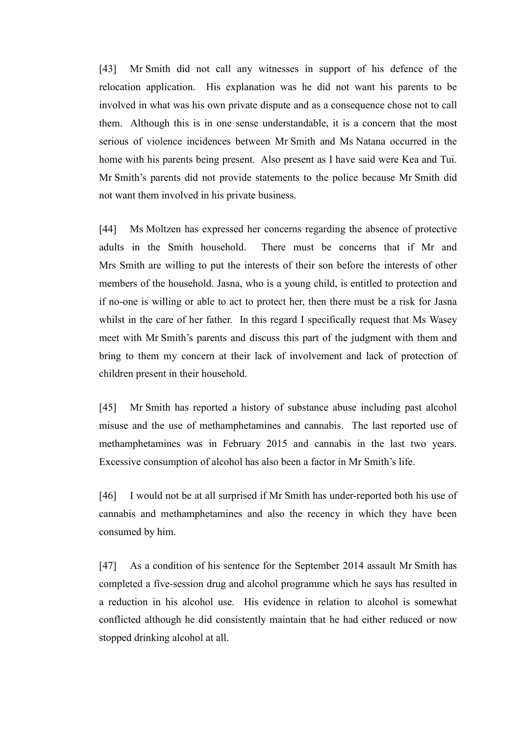[43] Mr Smith did not call any witnesses in support of his defence of the relocation application. His explanation was he did not want his parents to be involved in what was his own private dispute and as a consequence chose not to call them. Although this is in one sense understandable, it is a concern that the most serious of violence incidences between Mr Smith and Ms Natana occurred in the home with his parents being present. Also present as I have said were Kea and Tui. Mr Smith's parents did not provide statements to the police because Mr Smith did not want them involved in his private business.

[44] Ms Moltzen has expressed her concerns regarding the absence of protective adults in the Smith household. There must be concerns that if Mr and Mrs Smith are willing to put the interests of their son before the interests of other members of the household. Jasna, who is a young child, is entitled to protection and if no-one is willing or able to act to protect her, then there must be a risk for Jasna whilst in the care of her father. In this regard I specifically request that Ms Wasey meet with Mr Smith's parents and discuss this part of the judgment with them and bring to them my concern at their lack of involvement and lack of protection of children present in their household.

[45] Mr Smith has reported a history of substance abuse including past alcohol misuse and the use of methamphetamines and cannabis. The last reported use of methamphetamines was in February 2015 and cannabis in the last two years. Excessive consumption of alcohol has also been a factor in Mr Smith's life.

[46] I would not be at all surprised if Mr Smith has under-reported both his use of cannabis and methamphetamines and also the recency in which they have been consumed by him.

[47] As a condition of his sentence for the September 2014 assault Mr Smith has completed a five-session drug and alcohol programme which he says has resulted in a reduction in his alcohol use. His evidence in relation to alcohol is somewhat conflicted although he did consistently maintain that he had either reduced or now stopped drinking alcohol at all.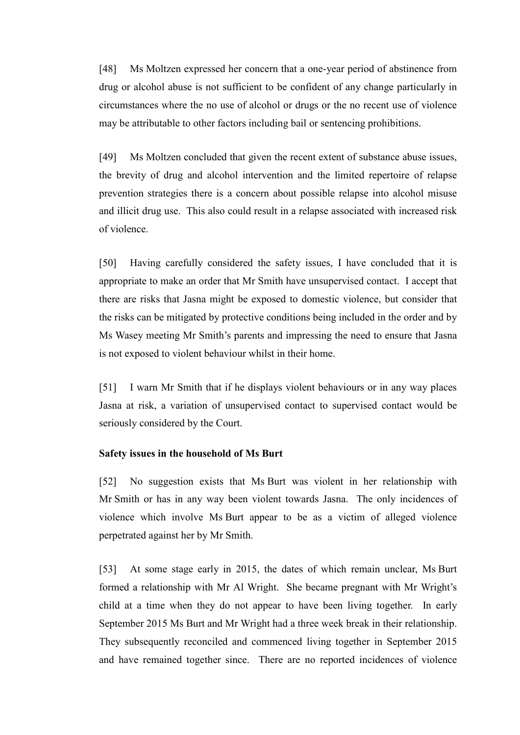[48] Ms Moltzen expressed her concern that a one-year period of abstinence from drug or alcohol abuse is not sufficient to be confident of any change particularly in circumstances where the no use of alcohol or drugs or the no recent use of violence may be attributable to other factors including bail or sentencing prohibitions.

[49] Ms Moltzen concluded that given the recent extent of substance abuse issues, the brevity of drug and alcohol intervention and the limited repertoire of relapse prevention strategies there is a concern about possible relapse into alcohol misuse and illicit drug use. This also could result in a relapse associated with increased risk of violence.

[50] Having carefully considered the safety issues, I have concluded that it is appropriate to make an order that Mr Smith have unsupervised contact. I accept that there are risks that Jasna might be exposed to domestic violence, but consider that the risks can be mitigated by protective conditions being included in the order and by Ms Wasey meeting Mr Smith's parents and impressing the need to ensure that Jasna is not exposed to violent behaviour whilst in their home.

[51] I warn Mr Smith that if he displays violent behaviours or in any way places Jasna at risk, a variation of unsupervised contact to supervised contact would be seriously considered by the Court.

## **Safety issues in the household of Ms Burt**

[52] No suggestion exists that Ms Burt was violent in her relationship with Mr Smith or has in any way been violent towards Jasna. The only incidences of violence which involve Ms Burt appear to be as a victim of alleged violence perpetrated against her by Mr Smith.

[53] At some stage early in 2015, the dates of which remain unclear, Ms Burt formed a relationship with Mr Al Wright. She became pregnant with Mr Wright's child at a time when they do not appear to have been living together. In early September 2015 Ms Burt and Mr Wright had a three week break in their relationship. They subsequently reconciled and commenced living together in September 2015 and have remained together since. There are no reported incidences of violence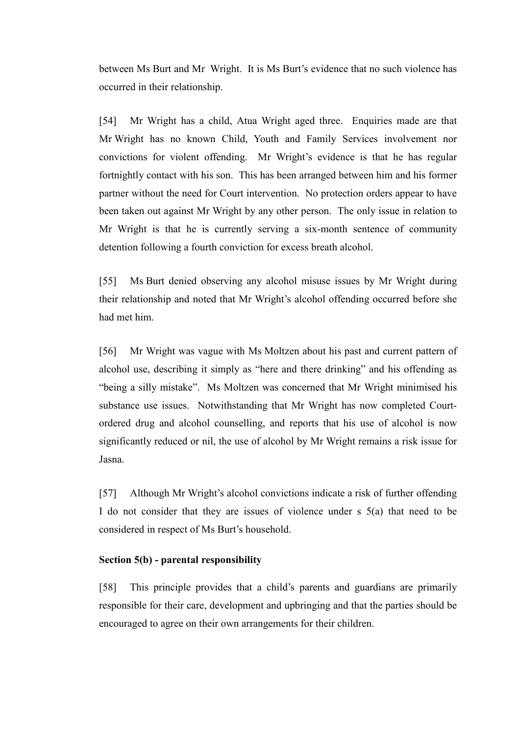between Ms Burt and Mr Wright. It is Ms Burt's evidence that no such violence has occurred in their relationship.

[54] Mr Wright has a child, Atua Wright aged three. Enquiries made are that Mr Wright has no known Child, Youth and Family Services involvement nor convictions for violent offending. Mr Wright's evidence is that he has regular fortnightly contact with his son. This has been arranged between him and his former partner without the need for Court intervention. No protection orders appear to have been taken out against Mr Wright by any other person. The only issue in relation to Mr Wright is that he is currently serving a six-month sentence of community detention following a fourth conviction for excess breath alcohol.

[55] Ms Burt denied observing any alcohol misuse issues by Mr Wright during their relationship and noted that Mr Wright's alcohol offending occurred before she had met him.

[56] Mr Wright was vague with Ms Moltzen about his past and current pattern of alcohol use, describing it simply as "here and there drinking" and his offending as "being a silly mistake". Ms Moltzen was concerned that Mr Wright minimised his substance use issues. Notwithstanding that Mr Wright has now completed Courtordered drug and alcohol counselling, and reports that his use of alcohol is now significantly reduced or nil, the use of alcohol by Mr Wright remains a risk issue for Jasna.

[57] Although Mr Wright's alcohol convictions indicate a risk of further offending I do not consider that they are issues of violence under s 5(a) that need to be considered in respect of Ms Burt's household.

## **Section 5(b) - parental responsibility**

[58] This principle provides that a child's parents and guardians are primarily responsible for their care, development and upbringing and that the parties should be encouraged to agree on their own arrangements for their children.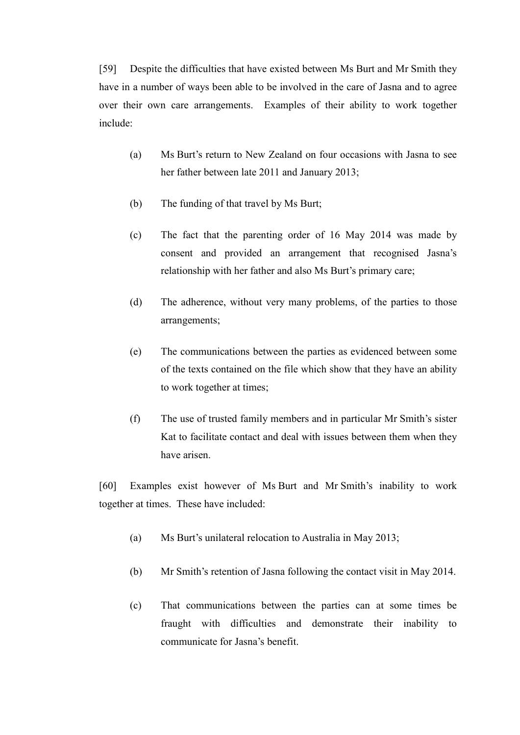[59] Despite the difficulties that have existed between Ms Burt and Mr Smith they have in a number of ways been able to be involved in the care of Jasna and to agree over their own care arrangements. Examples of their ability to work together include:

- (a) Ms Burt's return to New Zealand on four occasions with Jasna to see her father between late 2011 and January 2013;
- (b) The funding of that travel by Ms Burt;
- (c) The fact that the parenting order of 16 May 2014 was made by consent and provided an arrangement that recognised Jasna's relationship with her father and also Ms Burt's primary care;
- (d) The adherence, without very many problems, of the parties to those arrangements;
- (e) The communications between the parties as evidenced between some of the texts contained on the file which show that they have an ability to work together at times;
- (f) The use of trusted family members and in particular Mr Smith's sister Kat to facilitate contact and deal with issues between them when they have arisen.

[60] Examples exist however of Ms Burt and Mr Smith's inability to work together at times. These have included:

- (a) Ms Burt's unilateral relocation to Australia in May 2013;
- (b) Mr Smith's retention of Jasna following the contact visit in May 2014.
- (c) That communications between the parties can at some times be fraught with difficulties and demonstrate their inability to communicate for Jasna's benefit.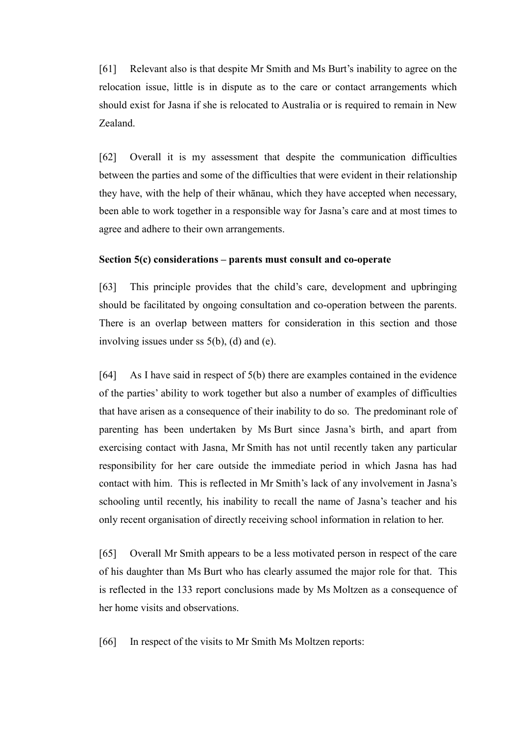[61] Relevant also is that despite Mr Smith and Ms Burt's inability to agree on the relocation issue, little is in dispute as to the care or contact arrangements which should exist for Jasna if she is relocated to Australia or is required to remain in New Zealand.

[62] Overall it is my assessment that despite the communication difficulties between the parties and some of the difficulties that were evident in their relationship they have, with the help of their whānau, which they have accepted when necessary, been able to work together in a responsible way for Jasna's care and at most times to agree and adhere to their own arrangements.

#### **Section 5(c) considerations – parents must consult and co-operate**

[63] This principle provides that the child's care, development and upbringing should be facilitated by ongoing consultation and co-operation between the parents. There is an overlap between matters for consideration in this section and those involving issues under ss 5(b), (d) and (e).

[64] As I have said in respect of 5(b) there are examples contained in the evidence of the parties' ability to work together but also a number of examples of difficulties that have arisen as a consequence of their inability to do so. The predominant role of parenting has been undertaken by Ms Burt since Jasna's birth, and apart from exercising contact with Jasna, Mr Smith has not until recently taken any particular responsibility for her care outside the immediate period in which Jasna has had contact with him. This is reflected in Mr Smith's lack of any involvement in Jasna's schooling until recently, his inability to recall the name of Jasna's teacher and his only recent organisation of directly receiving school information in relation to her.

[65] Overall Mr Smith appears to be a less motivated person in respect of the care of his daughter than Ms Burt who has clearly assumed the major role for that. This is reflected in the 133 report conclusions made by Ms Moltzen as a consequence of her home visits and observations.

[66] In respect of the visits to Mr Smith Ms Moltzen reports: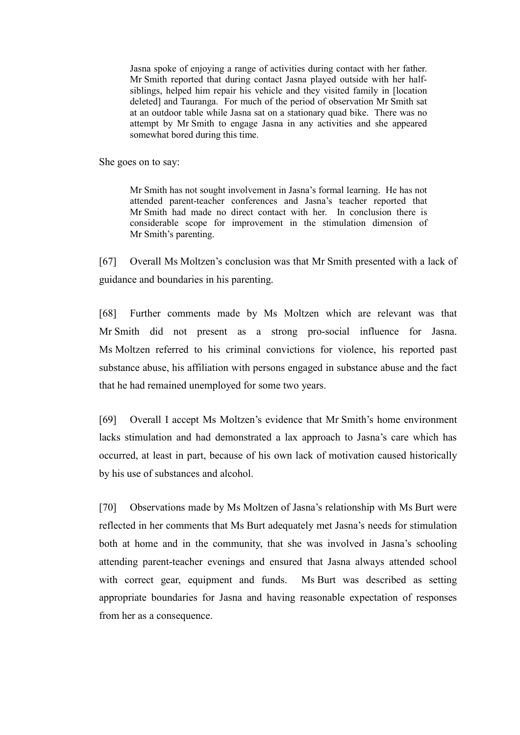Jasna spoke of enjoying a range of activities during contact with her father. Mr Smith reported that during contact Jasna played outside with her halfsiblings, helped him repair his vehicle and they visited family in [location deleted] and Tauranga. For much of the period of observation Mr Smith sat at an outdoor table while Jasna sat on a stationary quad bike. There was no attempt by Mr Smith to engage Jasna in any activities and she appeared somewhat bored during this time.

She goes on to say:

Mr Smith has not sought involvement in Jasna's formal learning. He has not attended parent-teacher conferences and Jasna's teacher reported that Mr Smith had made no direct contact with her. In conclusion there is considerable scope for improvement in the stimulation dimension of Mr Smith's parenting.

[67] Overall Ms Moltzen's conclusion was that Mr Smith presented with a lack of guidance and boundaries in his parenting.

[68] Further comments made by Ms Moltzen which are relevant was that Mr Smith did not present as a strong pro-social influence for Jasna. Ms Moltzen referred to his criminal convictions for violence, his reported past substance abuse, his affiliation with persons engaged in substance abuse and the fact that he had remained unemployed for some two years.

[69] Overall I accept Ms Moltzen's evidence that Mr Smith's home environment lacks stimulation and had demonstrated a lax approach to Jasna's care which has occurred, at least in part, because of his own lack of motivation caused historically by his use of substances and alcohol.

[70] Observations made by Ms Moltzen of Jasna's relationship with Ms Burt were reflected in her comments that Ms Burt adequately met Jasna's needs for stimulation both at home and in the community, that she was involved in Jasna's schooling attending parent-teacher evenings and ensured that Jasna always attended school with correct gear, equipment and funds. Ms Burt was described as setting appropriate boundaries for Jasna and having reasonable expectation of responses from her as a consequence.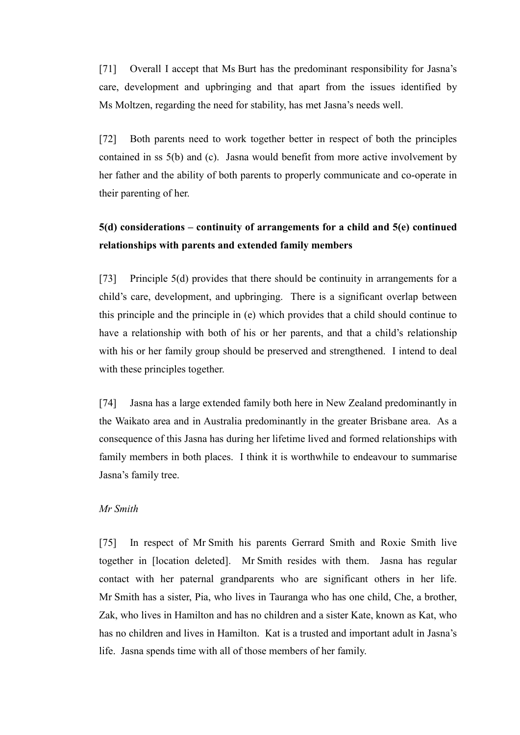[71] Overall I accept that Ms Burt has the predominant responsibility for Jasna's care, development and upbringing and that apart from the issues identified by Ms Moltzen, regarding the need for stability, has met Jasna's needs well.

[72] Both parents need to work together better in respect of both the principles contained in ss 5(b) and (c). Jasna would benefit from more active involvement by her father and the ability of both parents to properly communicate and co-operate in their parenting of her.

# **5(d) considerations – continuity of arrangements for a child and 5(e) continued relationships with parents and extended family members**

[73] Principle 5(d) provides that there should be continuity in arrangements for a child's care, development, and upbringing. There is a significant overlap between this principle and the principle in (e) which provides that a child should continue to have a relationship with both of his or her parents, and that a child's relationship with his or her family group should be preserved and strengthened. I intend to deal with these principles together.

[74] Jasna has a large extended family both here in New Zealand predominantly in the Waikato area and in Australia predominantly in the greater Brisbane area. As a consequence of this Jasna has during her lifetime lived and formed relationships with family members in both places. I think it is worthwhile to endeavour to summarise Jasna's family tree.

## *Mr Smith*

[75] In respect of Mr Smith his parents Gerrard Smith and Roxie Smith live together in [location deleted]. Mr Smith resides with them. Jasna has regular contact with her paternal grandparents who are significant others in her life. Mr Smith has a sister, Pia, who lives in Tauranga who has one child, Che, a brother, Zak, who lives in Hamilton and has no children and a sister Kate, known as Kat, who has no children and lives in Hamilton. Kat is a trusted and important adult in Jasna's life. Jasna spends time with all of those members of her family.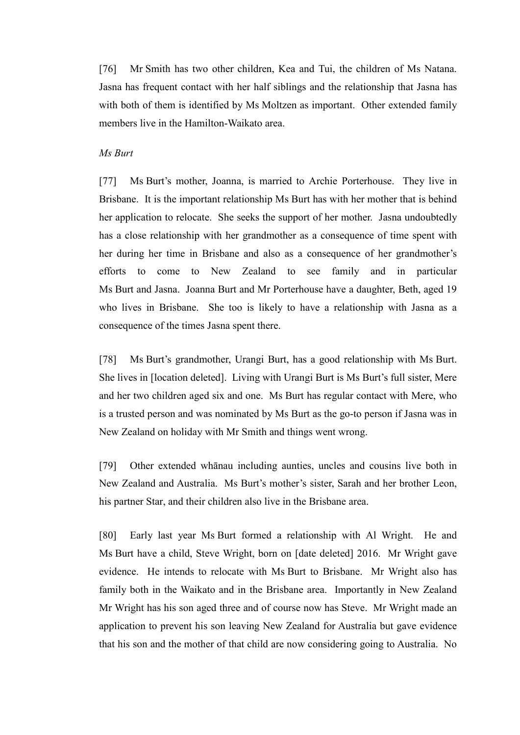[76] Mr Smith has two other children, Kea and Tui, the children of Ms Natana. Jasna has frequent contact with her half siblings and the relationship that Jasna has with both of them is identified by Ms Moltzen as important. Other extended family members live in the Hamilton-Waikato area.

#### *Ms Burt*

[77] Ms Burt's mother, Joanna, is married to Archie Porterhouse. They live in Brisbane. It is the important relationship Ms Burt has with her mother that is behind her application to relocate. She seeks the support of her mother. Jasna undoubtedly has a close relationship with her grandmother as a consequence of time spent with her during her time in Brisbane and also as a consequence of her grandmother's efforts to come to New Zealand to see family and in particular Ms Burt and Jasna. Joanna Burt and Mr Porterhouse have a daughter, Beth, aged 19 who lives in Brisbane. She too is likely to have a relationship with Jasna as a consequence of the times Jasna spent there.

[78] Ms Burt's grandmother, Urangi Burt, has a good relationship with Ms Burt. She lives in [location deleted]. Living with Urangi Burt is Ms Burt's full sister, Mere and her two children aged six and one. Ms Burt has regular contact with Mere, who is a trusted person and was nominated by Ms Burt as the go-to person if Jasna was in New Zealand on holiday with Mr Smith and things went wrong.

[79] Other extended whānau including aunties, uncles and cousins live both in New Zealand and Australia. Ms Burt's mother's sister, Sarah and her brother Leon, his partner Star, and their children also live in the Brisbane area.

[80] Early last year Ms Burt formed a relationship with Al Wright. He and Ms Burt have a child, Steve Wright, born on [date deleted] 2016. Mr Wright gave evidence. He intends to relocate with Ms Burt to Brisbane. Mr Wright also has family both in the Waikato and in the Brisbane area. Importantly in New Zealand Mr Wright has his son aged three and of course now has Steve. Mr Wright made an application to prevent his son leaving New Zealand for Australia but gave evidence that his son and the mother of that child are now considering going to Australia. No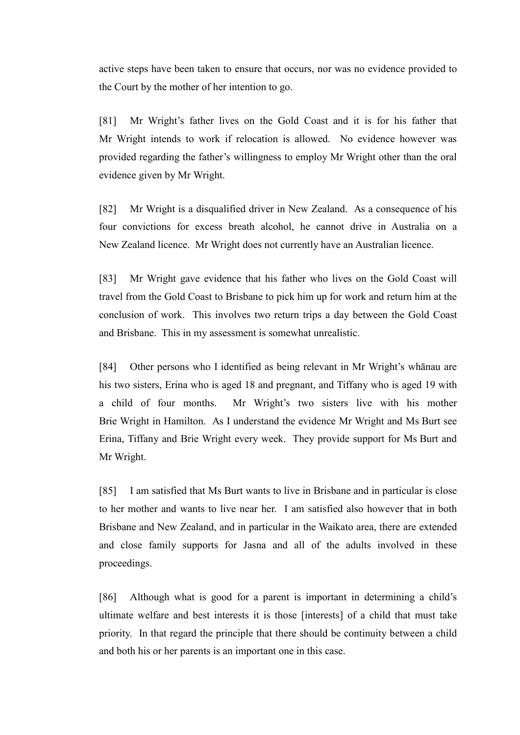active steps have been taken to ensure that occurs, nor was no evidence provided to the Court by the mother of her intention to go.

[81] Mr Wright's father lives on the Gold Coast and it is for his father that Mr Wright intends to work if relocation is allowed. No evidence however was provided regarding the father's willingness to employ Mr Wright other than the oral evidence given by Mr Wright.

[82] Mr Wright is a disqualified driver in New Zealand. As a consequence of his four convictions for excess breath alcohol, he cannot drive in Australia on a New Zealand licence. Mr Wright does not currently have an Australian licence.

[83] Mr Wright gave evidence that his father who lives on the Gold Coast will travel from the Gold Coast to Brisbane to pick him up for work and return him at the conclusion of work. This involves two return trips a day between the Gold Coast and Brisbane. This in my assessment is somewhat unrealistic.

[84] Other persons who I identified as being relevant in Mr Wright's whānau are his two sisters, Erina who is aged 18 and pregnant, and Tiffany who is aged 19 with a child of four months. Mr Wright's two sisters live with his mother Brie Wright in Hamilton. As I understand the evidence Mr Wright and Ms Burt see Erina, Tiffany and Brie Wright every week. They provide support for Ms Burt and Mr Wright.

[85] I am satisfied that Ms Burt wants to live in Brisbane and in particular is close to her mother and wants to live near her. I am satisfied also however that in both Brisbane and New Zealand, and in particular in the Waikato area, there are extended and close family supports for Jasna and all of the adults involved in these proceedings.

[86] Although what is good for a parent is important in determining a child's ultimate welfare and best interests it is those [interests] of a child that must take priority. In that regard the principle that there should be continuity between a child and both his or her parents is an important one in this case.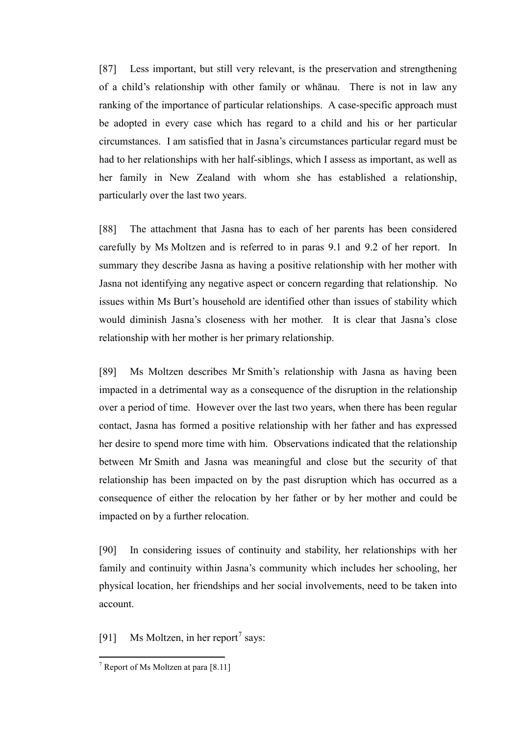[87] Less important, but still very relevant, is the preservation and strengthening of a child's relationship with other family or whānau. There is not in law any ranking of the importance of particular relationships. A case-specific approach must be adopted in every case which has regard to a child and his or her particular circumstances. I am satisfied that in Jasna's circumstances particular regard must be had to her relationships with her half-siblings, which I assess as important, as well as her family in New Zealand with whom she has established a relationship, particularly over the last two years.

[88] The attachment that Jasna has to each of her parents has been considered carefully by Ms Moltzen and is referred to in paras 9.1 and 9.2 of her report. In summary they describe Jasna as having a positive relationship with her mother with Jasna not identifying any negative aspect or concern regarding that relationship. No issues within Ms Burt's household are identified other than issues of stability which would diminish Jasna's closeness with her mother. It is clear that Jasna's close relationship with her mother is her primary relationship.

[89] Ms Moltzen describes Mr Smith's relationship with Jasna as having been impacted in a detrimental way as a consequence of the disruption in the relationship over a period of time. However over the last two years, when there has been regular contact, Jasna has formed a positive relationship with her father and has expressed her desire to spend more time with him. Observations indicated that the relationship between Mr Smith and Jasna was meaningful and close but the security of that relationship has been impacted on by the past disruption which has occurred as a consequence of either the relocation by her father or by her mother and could be impacted on by a further relocation.

[90] In considering issues of continuity and stability, her relationships with her family and continuity within Jasna's community which includes her schooling, her physical location, her friendships and her social involvements, need to be taken into account.

[91] Ms Moltzen, in her report<sup>[7](#page-26-0)</sup> says:

 $<sup>7</sup>$  Report of Ms Moltzen at para [8.11]</sup>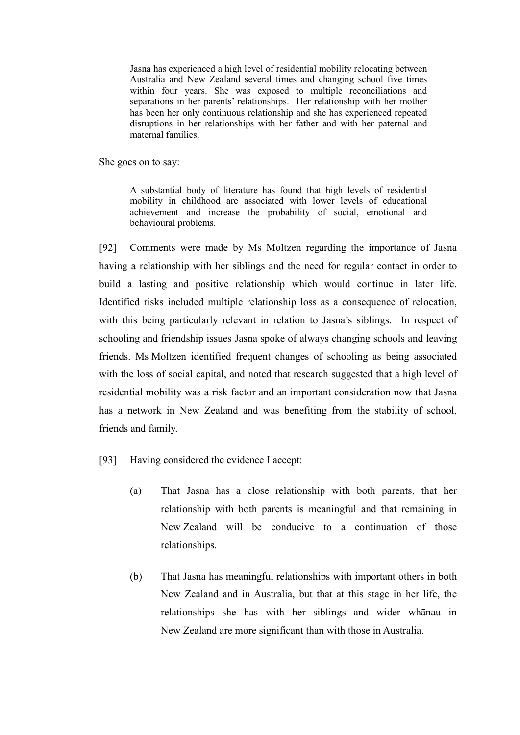Jasna has experienced a high level of residential mobility relocating between Australia and New Zealand several times and changing school five times within four years. She was exposed to multiple reconciliations and separations in her parents' relationships. Her relationship with her mother has been her only continuous relationship and she has experienced repeated disruptions in her relationships with her father and with her paternal and maternal families.

She goes on to say:

A substantial body of literature has found that high levels of residential mobility in childhood are associated with lower levels of educational achievement and increase the probability of social, emotional and behavioural problems.

[92] Comments were made by Ms Moltzen regarding the importance of Jasna having a relationship with her siblings and the need for regular contact in order to build a lasting and positive relationship which would continue in later life. Identified risks included multiple relationship loss as a consequence of relocation, with this being particularly relevant in relation to Jasna's siblings. In respect of schooling and friendship issues Jasna spoke of always changing schools and leaving friends. Ms Moltzen identified frequent changes of schooling as being associated with the loss of social capital, and noted that research suggested that a high level of residential mobility was a risk factor and an important consideration now that Jasna has a network in New Zealand and was benefiting from the stability of school, friends and family.

[93] Having considered the evidence I accept:

- (a) That Jasna has a close relationship with both parents, that her relationship with both parents is meaningful and that remaining in New Zealand will be conducive to a continuation of those relationships.
- (b) That Jasna has meaningful relationships with important others in both New Zealand and in Australia, but that at this stage in her life, the relationships she has with her siblings and wider whānau in New Zealand are more significant than with those in Australia.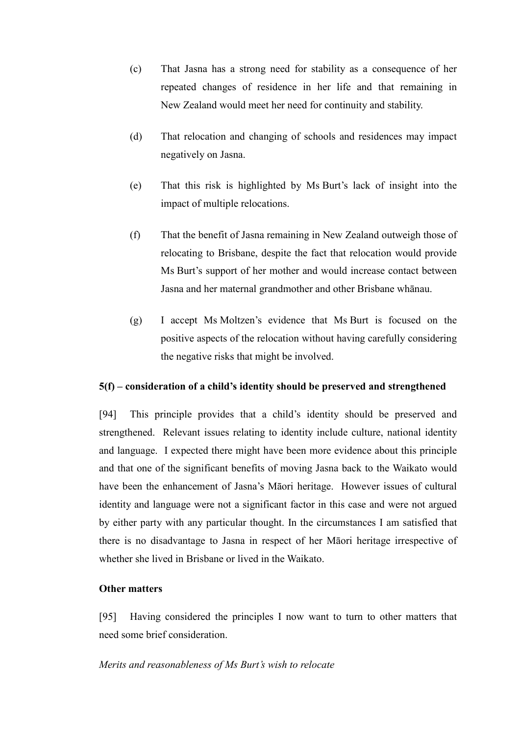- (c) That Jasna has a strong need for stability as a consequence of her repeated changes of residence in her life and that remaining in New Zealand would meet her need for continuity and stability.
- (d) That relocation and changing of schools and residences may impact negatively on Jasna.
- (e) That this risk is highlighted by Ms Burt's lack of insight into the impact of multiple relocations.
- (f) That the benefit of Jasna remaining in New Zealand outweigh those of relocating to Brisbane, despite the fact that relocation would provide Ms Burt's support of her mother and would increase contact between Jasna and her maternal grandmother and other Brisbane whānau.
- (g) I accept Ms Moltzen's evidence that Ms Burt is focused on the positive aspects of the relocation without having carefully considering the negative risks that might be involved.

## **5(f) – consideration of a child's identity should be preserved and strengthened**

[94] This principle provides that a child's identity should be preserved and strengthened. Relevant issues relating to identity include culture, national identity and language. I expected there might have been more evidence about this principle and that one of the significant benefits of moving Jasna back to the Waikato would have been the enhancement of Jasna's Māori heritage. However issues of cultural identity and language were not a significant factor in this case and were not argued by either party with any particular thought. In the circumstances I am satisfied that there is no disadvantage to Jasna in respect of her Māori heritage irrespective of whether she lived in Brisbane or lived in the Waikato.

## **Other matters**

[95] Having considered the principles I now want to turn to other matters that need some brief consideration.

#### *Merits and reasonableness of Ms Burt's wish to relocate*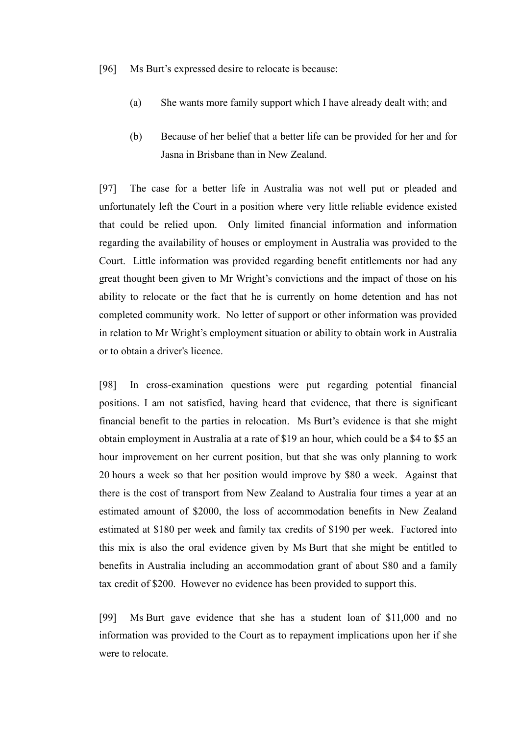- [96] Ms Burt's expressed desire to relocate is because:
	- (a) She wants more family support which I have already dealt with; and
	- (b) Because of her belief that a better life can be provided for her and for Jasna in Brisbane than in New Zealand.

[97] The case for a better life in Australia was not well put or pleaded and unfortunately left the Court in a position where very little reliable evidence existed that could be relied upon. Only limited financial information and information regarding the availability of houses or employment in Australia was provided to the Court. Little information was provided regarding benefit entitlements nor had any great thought been given to Mr Wright's convictions and the impact of those on his ability to relocate or the fact that he is currently on home detention and has not completed community work. No letter of support or other information was provided in relation to Mr Wright's employment situation or ability to obtain work in Australia or to obtain a driver's licence.

[98] In cross-examination questions were put regarding potential financial positions. I am not satisfied, having heard that evidence, that there is significant financial benefit to the parties in relocation. Ms Burt's evidence is that she might obtain employment in Australia at a rate of \$19 an hour, which could be a \$4 to \$5 an hour improvement on her current position, but that she was only planning to work 20 hours a week so that her position would improve by \$80 a week. Against that there is the cost of transport from New Zealand to Australia four times a year at an estimated amount of \$2000, the loss of accommodation benefits in New Zealand estimated at \$180 per week and family tax credits of \$190 per week. Factored into this mix is also the oral evidence given by Ms Burt that she might be entitled to benefits in Australia including an accommodation grant of about \$80 and a family tax credit of \$200. However no evidence has been provided to support this.

<span id="page-26-0"></span>[99] Ms Burt gave evidence that she has a student loan of \$11,000 and no information was provided to the Court as to repayment implications upon her if she were to relocate.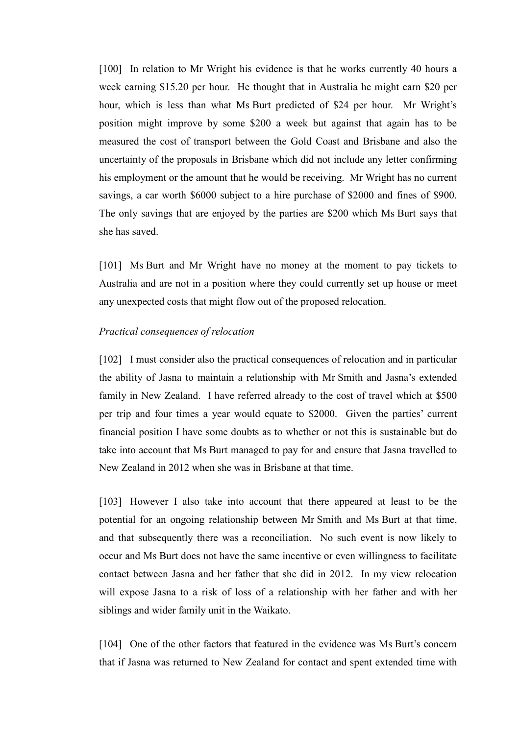[100] In relation to Mr Wright his evidence is that he works currently 40 hours a week earning \$15.20 per hour. He thought that in Australia he might earn \$20 per hour, which is less than what Ms Burt predicted of \$24 per hour. Mr Wright's position might improve by some \$200 a week but against that again has to be measured the cost of transport between the Gold Coast and Brisbane and also the uncertainty of the proposals in Brisbane which did not include any letter confirming his employment or the amount that he would be receiving. Mr Wright has no current savings, a car worth \$6000 subject to a hire purchase of \$2000 and fines of \$900. The only savings that are enjoyed by the parties are \$200 which Ms Burt says that she has saved.

[101] Ms Burt and Mr Wright have no money at the moment to pay tickets to Australia and are not in a position where they could currently set up house or meet any unexpected costs that might flow out of the proposed relocation.

#### *Practical consequences of relocation*

[102] I must consider also the practical consequences of relocation and in particular the ability of Jasna to maintain a relationship with Mr Smith and Jasna's extended family in New Zealand. I have referred already to the cost of travel which at \$500 per trip and four times a year would equate to \$2000. Given the parties' current financial position I have some doubts as to whether or not this is sustainable but do take into account that Ms Burt managed to pay for and ensure that Jasna travelled to New Zealand in 2012 when she was in Brisbane at that time.

[103] However I also take into account that there appeared at least to be the potential for an ongoing relationship between Mr Smith and Ms Burt at that time, and that subsequently there was a reconciliation. No such event is now likely to occur and Ms Burt does not have the same incentive or even willingness to facilitate contact between Jasna and her father that she did in 2012. In my view relocation will expose Jasna to a risk of loss of a relationship with her father and with her siblings and wider family unit in the Waikato.

[104] One of the other factors that featured in the evidence was Ms Burt's concern that if Jasna was returned to New Zealand for contact and spent extended time with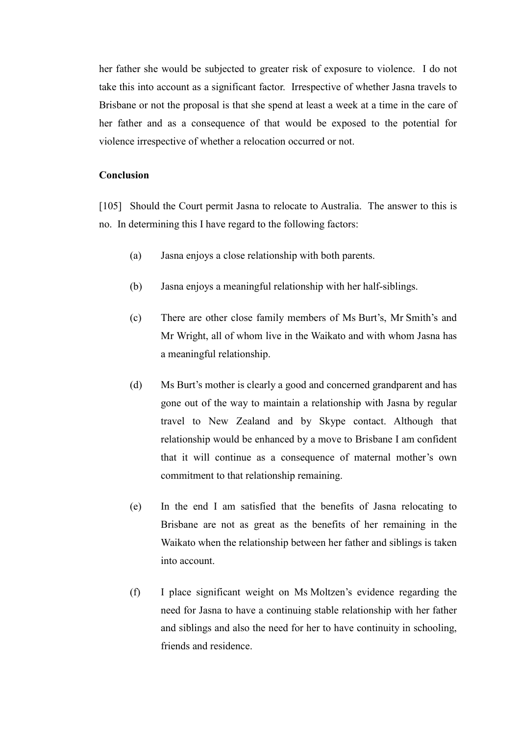her father she would be subjected to greater risk of exposure to violence. I do not take this into account as a significant factor. Irrespective of whether Jasna travels to Brisbane or not the proposal is that she spend at least a week at a time in the care of her father and as a consequence of that would be exposed to the potential for violence irrespective of whether a relocation occurred or not.

#### **Conclusion**

[105] Should the Court permit Jasna to relocate to Australia. The answer to this is no. In determining this I have regard to the following factors:

- (a) Jasna enjoys a close relationship with both parents.
- (b) Jasna enjoys a meaningful relationship with her half-siblings.
- (c) There are other close family members of Ms Burt's, Mr Smith's and Mr Wright, all of whom live in the Waikato and with whom Jasna has a meaningful relationship.
- (d) Ms Burt's mother is clearly a good and concerned grandparent and has gone out of the way to maintain a relationship with Jasna by regular travel to New Zealand and by Skype contact. Although that relationship would be enhanced by a move to Brisbane I am confident that it will continue as a consequence of maternal mother's own commitment to that relationship remaining.
- (e) In the end I am satisfied that the benefits of Jasna relocating to Brisbane are not as great as the benefits of her remaining in the Waikato when the relationship between her father and siblings is taken into account.
- (f) I place significant weight on Ms Moltzen's evidence regarding the need for Jasna to have a continuing stable relationship with her father and siblings and also the need for her to have continuity in schooling, friends and residence.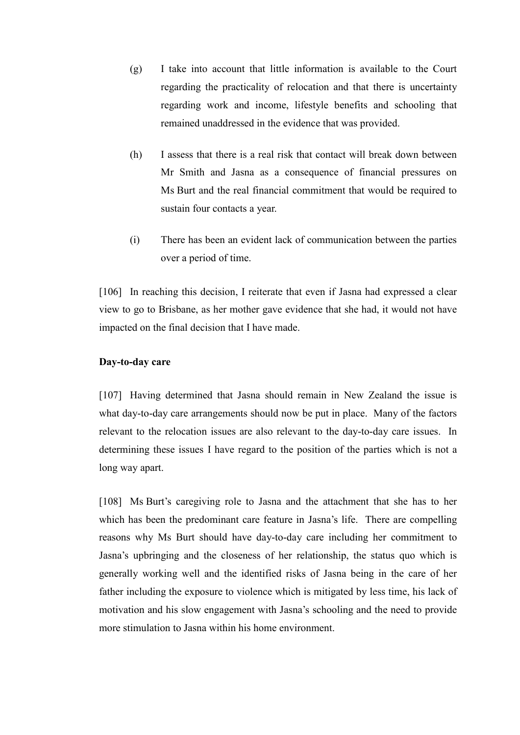- (g) I take into account that little information is available to the Court regarding the practicality of relocation and that there is uncertainty regarding work and income, lifestyle benefits and schooling that remained unaddressed in the evidence that was provided.
- (h) I assess that there is a real risk that contact will break down between Mr Smith and Jasna as a consequence of financial pressures on Ms Burt and the real financial commitment that would be required to sustain four contacts a year.
- (i) There has been an evident lack of communication between the parties over a period of time.

[106] In reaching this decision, I reiterate that even if Jasna had expressed a clear view to go to Brisbane, as her mother gave evidence that she had, it would not have impacted on the final decision that I have made.

## **Day-to-day care**

[107] Having determined that Jasna should remain in New Zealand the issue is what day-to-day care arrangements should now be put in place. Many of the factors relevant to the relocation issues are also relevant to the day-to-day care issues. In determining these issues I have regard to the position of the parties which is not a long way apart.

[108] Ms Burt's caregiving role to Jasna and the attachment that she has to her which has been the predominant care feature in Jasna's life. There are compelling reasons why Ms Burt should have day-to-day care including her commitment to Jasna's upbringing and the closeness of her relationship, the status quo which is generally working well and the identified risks of Jasna being in the care of her father including the exposure to violence which is mitigated by less time, his lack of motivation and his slow engagement with Jasna's schooling and the need to provide more stimulation to Jasna within his home environment.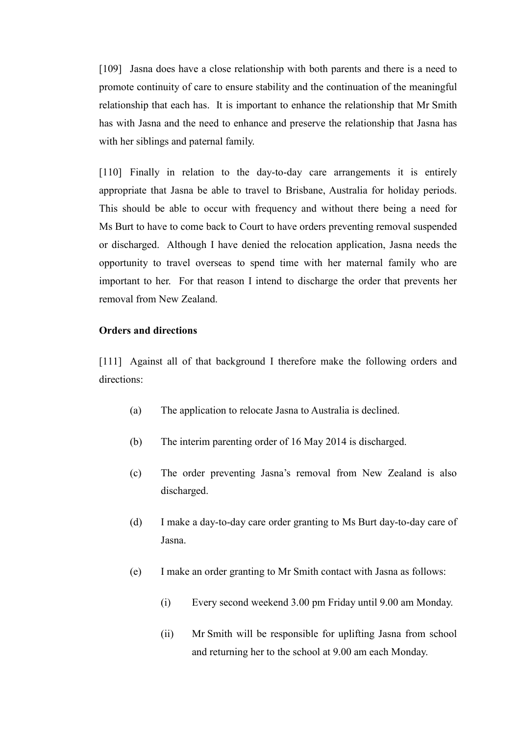[109] Jasna does have a close relationship with both parents and there is a need to promote continuity of care to ensure stability and the continuation of the meaningful relationship that each has. It is important to enhance the relationship that Mr Smith has with Jasna and the need to enhance and preserve the relationship that Jasna has with her siblings and paternal family.

[110] Finally in relation to the day-to-day care arrangements it is entirely appropriate that Jasna be able to travel to Brisbane, Australia for holiday periods. This should be able to occur with frequency and without there being a need for Ms Burt to have to come back to Court to have orders preventing removal suspended or discharged. Although I have denied the relocation application, Jasna needs the opportunity to travel overseas to spend time with her maternal family who are important to her. For that reason I intend to discharge the order that prevents her removal from New Zealand.

## **Orders and directions**

[111] Against all of that background I therefore make the following orders and directions:

- (a) The application to relocate Jasna to Australia is declined.
- (b) The interim parenting order of 16 May 2014 is discharged.
- (c) The order preventing Jasna's removal from New Zealand is also discharged.
- (d) I make a day-to-day care order granting to Ms Burt day-to-day care of Jasna.
- (e) I make an order granting to Mr Smith contact with Jasna as follows:
	- (i) Every second weekend 3.00 pm Friday until 9.00 am Monday.
	- (ii) Mr Smith will be responsible for uplifting Jasna from school and returning her to the school at 9.00 am each Monday.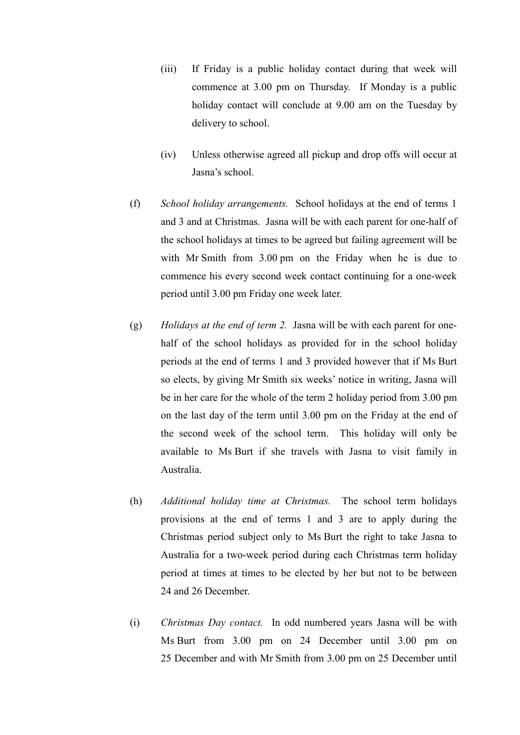- (iii) If Friday is a public holiday contact during that week will commence at 3.00 pm on Thursday. If Monday is a public holiday contact will conclude at 9.00 am on the Tuesday by delivery to school.
- (iv) Unless otherwise agreed all pickup and drop offs will occur at Jasna's school.
- (f) *School holiday arrangements.* School holidays at the end of terms 1 and 3 and at Christmas. Jasna will be with each parent for one-half of the school holidays at times to be agreed but failing agreement will be with Mr Smith from 3.00 pm on the Friday when he is due to commence his every second week contact continuing for a one-week period until 3.00 pm Friday one week later.
- (g) *Holidays at the end of term 2.* Jasna will be with each parent for onehalf of the school holidays as provided for in the school holiday periods at the end of terms 1 and 3 provided however that if Ms Burt so elects, by giving Mr Smith six weeks' notice in writing, Jasna will be in her care for the whole of the term 2 holiday period from 3.00 pm on the last day of the term until 3.00 pm on the Friday at the end of the second week of the school term. This holiday will only be available to Ms Burt if she travels with Jasna to visit family in Australia.
- (h) *Additional holiday time at Christmas.* The school term holidays provisions at the end of terms 1 and 3 are to apply during the Christmas period subject only to Ms Burt the right to take Jasna to Australia for a two-week period during each Christmas term holiday period at times at times to be elected by her but not to be between 24 and 26 December.
- (i) *Christmas Day contact.* In odd numbered years Jasna will be with Ms Burt from 3.00 pm on 24 December until 3.00 pm on 25 December and with Mr Smith from 3.00 pm on 25 December until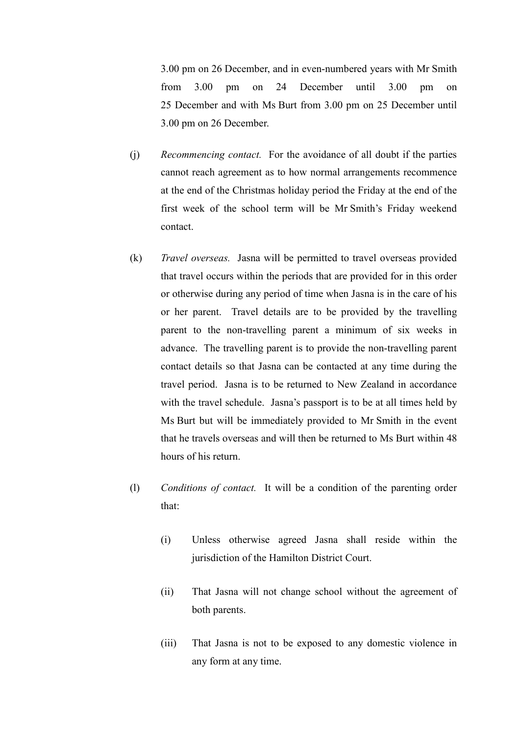3.00 pm on 26 December, and in even-numbered years with Mr Smith from 3.00 pm on 24 December until 3.00 pm on 25 December and with Ms Burt from 3.00 pm on 25 December until 3.00 pm on 26 December.

- (j) *Recommencing contact.* For the avoidance of all doubt if the parties cannot reach agreement as to how normal arrangements recommence at the end of the Christmas holiday period the Friday at the end of the first week of the school term will be Mr Smith's Friday weekend contact.
- (k) *Travel overseas.* Jasna will be permitted to travel overseas provided that travel occurs within the periods that are provided for in this order or otherwise during any period of time when Jasna is in the care of his or her parent. Travel details are to be provided by the travelling parent to the non-travelling parent a minimum of six weeks in advance. The travelling parent is to provide the non-travelling parent contact details so that Jasna can be contacted at any time during the travel period. Jasna is to be returned to New Zealand in accordance with the travel schedule. Jasna's passport is to be at all times held by Ms Burt but will be immediately provided to Mr Smith in the event that he travels overseas and will then be returned to Ms Burt within 48 hours of his return.
- (l) *Conditions of contact.* It will be a condition of the parenting order that:
	- (i) Unless otherwise agreed Jasna shall reside within the jurisdiction of the Hamilton District Court.
	- (ii) That Jasna will not change school without the agreement of both parents.
	- (iii) That Jasna is not to be exposed to any domestic violence in any form at any time.